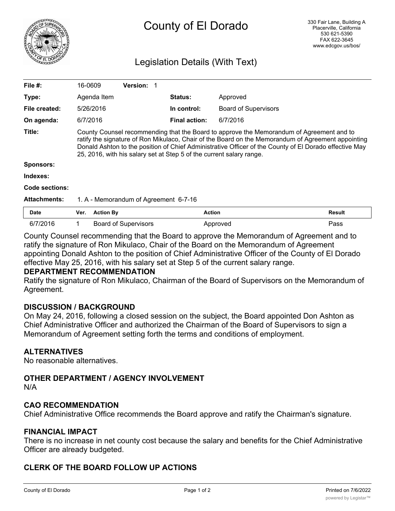

# County of El Dorado

# Legislation Details (With Text)

| File #:             | 16-0609                                                                                                                                                                                                                                                                                                                                                                          |                  | <b>Version:</b>             |                |                      |                             |               |
|---------------------|----------------------------------------------------------------------------------------------------------------------------------------------------------------------------------------------------------------------------------------------------------------------------------------------------------------------------------------------------------------------------------|------------------|-----------------------------|----------------|----------------------|-----------------------------|---------------|
| Type:               |                                                                                                                                                                                                                                                                                                                                                                                  | Agenda Item      |                             | <b>Status:</b> |                      | Approved                    |               |
| File created:       |                                                                                                                                                                                                                                                                                                                                                                                  | 5/26/2016        |                             |                | In control:          | <b>Board of Supervisors</b> |               |
| On agenda:          | 6/7/2016                                                                                                                                                                                                                                                                                                                                                                         |                  |                             |                | <b>Final action:</b> | 6/7/2016                    |               |
| Title:              | County Counsel recommending that the Board to approve the Memorandum of Agreement and to<br>ratify the signature of Ron Mikulaco, Chair of the Board on the Memorandum of Agreement appointing<br>Donald Ashton to the position of Chief Administrative Officer of the County of El Dorado effective May<br>25, 2016, with his salary set at Step 5 of the current salary range. |                  |                             |                |                      |                             |               |
| <b>Sponsors:</b>    |                                                                                                                                                                                                                                                                                                                                                                                  |                  |                             |                |                      |                             |               |
| Indexes:            |                                                                                                                                                                                                                                                                                                                                                                                  |                  |                             |                |                      |                             |               |
| Code sections:      |                                                                                                                                                                                                                                                                                                                                                                                  |                  |                             |                |                      |                             |               |
| <b>Attachments:</b> | 1. A - Memorandum of Agreement 6-7-16                                                                                                                                                                                                                                                                                                                                            |                  |                             |                |                      |                             |               |
| Date                | Ver.                                                                                                                                                                                                                                                                                                                                                                             | <b>Action By</b> |                             |                | <b>Action</b>        |                             | <b>Result</b> |
| 6/7/2016            | 1                                                                                                                                                                                                                                                                                                                                                                                |                  | <b>Board of Supervisors</b> |                |                      | Approved                    | Pass          |

County Counsel recommending that the Board to approve the Memorandum of Agreement and to ratify the signature of Ron Mikulaco, Chair of the Board on the Memorandum of Agreement appointing Donald Ashton to the position of Chief Administrative Officer of the County of El Dorado effective May 25, 2016, with his salary set at Step 5 of the current salary range.

#### **DEPARTMENT RECOMMENDATION**

Ratify the signature of Ron Mikulaco, Chairman of the Board of Supervisors on the Memorandum of Agreement.

#### **DISCUSSION / BACKGROUND**

On May 24, 2016, following a closed session on the subject, the Board appointed Don Ashton as Chief Administrative Officer and authorized the Chairman of the Board of Supervisors to sign a Memorandum of Agreement setting forth the terms and conditions of employment.

#### **ALTERNATIVES**

No reasonable alternatives.

#### **OTHER DEPARTMENT / AGENCY INVOLVEMENT**

N/A

#### **CAO RECOMMENDATION**

Chief Administrative Office recommends the Board approve and ratify the Chairman's signature.

#### **FINANCIAL IMPACT**

There is no increase in net county cost because the salary and benefits for the Chief Administrative Officer are already budgeted.

#### **CLERK OF THE BOARD FOLLOW UP ACTIONS**